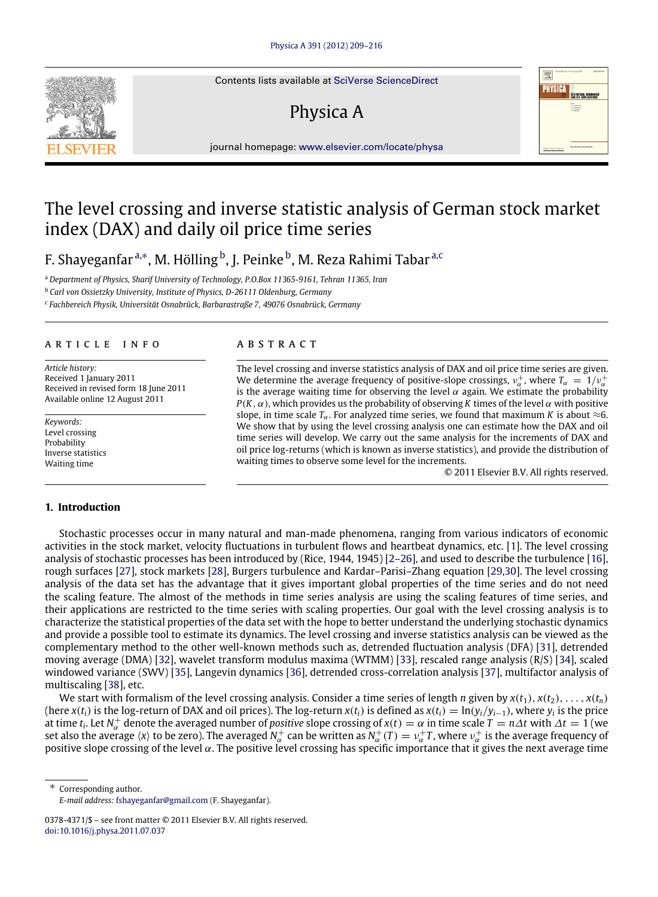Contents lists available at [SciVerse ScienceDirect](http://www.elsevier.com/locate/physa)

# Physica A

PHYSICA ENTHERE MECHANI  $\frac{1}{2}$ 

journal homepage: [www.elsevier.com/locate/physa](http://www.elsevier.com/locate/physa)

## The level crossing and inverse statistic analysis of German stock market index (DAX) and daily oil price time series

F. Shayeganfar <sup>[a,](#page-0-0)</sup>\*, M. Hölling <sup>[b](#page-0-2)</sup>, J. Peinke <sup>b</sup>, M. Rez[a](#page-0-0) Rahimi Tabar <sup>a[,c](#page-0-3)</sup>

<span id="page-0-0"></span><sup>a</sup> *Department of Physics, Sharif University of Technology, P.O.Box 11365-9161, Tehran 11365, Iran*

<span id="page-0-2"></span><sup>b</sup> *Carl von Ossietzky University, Institute of Physics, D-26111 Oldenburg, Germany*

<span id="page-0-3"></span>c *Fachbereich Physik, Universität Osnabrück, Barbarastraße 7, 49076 Osnabrück, Germany*

### a r t i c l e i n f o

*Article history:* Received 1 January 2011 Received in revised form 18 June 2011 Available online 12 August 2011

*Keywords:* Level crossing Probability Inverse statistics Waiting time

## a b s t r a c t

The level crossing and inverse statistics analysis of DAX and oil price time series are given. We determine the average frequency of positive-slope crossings,  $v_{\alpha}^{+}$ , where  $T_{\alpha} = 1/v_{\alpha}^{+}$ is the average waiting time for observing the level  $\alpha$  again. We estimate the probability  $P(K, \alpha)$ , which provides us the probability of observing K times of the level  $\alpha$  with positive slope, in time scale  $T_\alpha$ . For analyzed time series, we found that maximum *K* is about  $\approx$ 6. We show that by using the level crossing analysis one can estimate how the DAX and oil time series will develop. We carry out the same analysis for the increments of DAX and oil price log-returns (which is known as inverse statistics), and provide the distribution of waiting times to observe some level for the increments.

© 2011 Elsevier B.V. All rights reserved.

#### **1. Introduction**

Stochastic processes occur in many natural and man-made phenomena, ranging from various indicators of economic activities in the stock market, velocity fluctuations in turbulent flows and heartbeat dynamics, etc. [\[1\]](#page--1-0). The level crossing analysis of stochastic processes has been introduced by (Rice, 1944, 1945) [\[2–26\]](#page--1-1), and used to describe the turbulence [\[16\]](#page--1-2), rough surfaces [\[27\]](#page--1-3), stock markets [\[28\]](#page--1-4), Burgers turbulence and Kardar–Parisi–Zhang equation [\[29,](#page--1-5)[30\]](#page--1-6). The level crossing analysis of the data set has the advantage that it gives important global properties of the time series and do not need the scaling feature. The almost of the methods in time series analysis are using the scaling features of time series, and their applications are restricted to the time series with scaling properties. Our goal with the level crossing analysis is to characterize the statistical properties of the data set with the hope to better understand the underlying stochastic dynamics and provide a possible tool to estimate its dynamics. The level crossing and inverse statistics analysis can be viewed as the complementary method to the other well-known methods such as, detrended fluctuation analysis (DFA) [\[31\]](#page--1-7), detrended moving average (DMA) [\[32\]](#page--1-8), wavelet transform modulus maxima (WTMM) [\[33\]](#page--1-9), rescaled range analysis (R/S) [\[34\]](#page--1-10), scaled windowed variance (SWV) [\[35\]](#page--1-11), Langevin dynamics [\[36\]](#page--1-12), detrended cross-correlation analysis [\[37\]](#page--1-13), multifactor analysis of multiscaling [\[38\]](#page--1-14), etc.

We start with formalism of the level crossing analysis. Consider a time series of length *n* given by  $x(t_1), x(t_2), \ldots, x(t_n)$ (here  $x(t_i)$  is the log-return of DAX and oil prices). The log-return  $x(t_i)$  is defined as  $x(t_i) = \ln(y_i/y_{i-1})$ , where  $y_i$  is the price at time  $t_i$ . Let  $N_\alpha^+$  denote the averaged number of *positive* slope crossing of  $x(t) = \alpha$  in time scale  $T = n\Delta t$  with  $\Delta t = 1$  (we set also the average  $\langle x \rangle$  to be zero). The averaged  $N_\alpha^+$  can be written as  $N_\alpha^+(T)=\nu_\alpha^+T$ , where  $\nu_\alpha^+$  is the average frequency of positive slope crossing of the level  $\alpha$ . The positive level crossing has specific importance that it gives the next average time

<span id="page-0-1"></span>Corresponding author. *E-mail address:* [fshayeganfar@gmail.com](mailto:fshayeganfar@gmail.com) (F. Shayeganfar).



<sup>0378-4371/\$ –</sup> see front matter © 2011 Elsevier B.V. All rights reserved. [doi:10.1016/j.physa.2011.07.037](http://dx.doi.org/10.1016/j.physa.2011.07.037)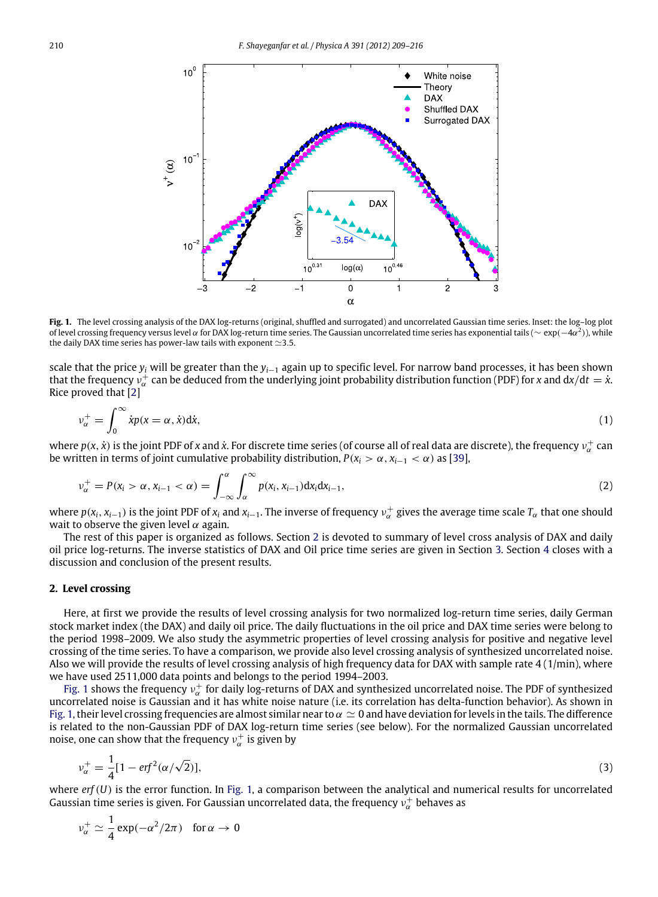<span id="page-1-1"></span>

**Fig. 1.** The level crossing analysis of the DAX log-returns (original, shuffled and surrogated) and uncorrelated Gaussian time series. Inset: the log–log plot of level crossing frequency versus level  $\alpha$  for DAX log-return time series. The Gaussian uncorrelated time series has exponential tails ( $\sim \exp(-4\alpha^2)$ ), while the daily DAX time series has power-law tails with exponent ≃3.5.

scale that the price *y<sup>i</sup>* will be greater than the *yi*−<sup>1</sup> again up to specific level. For narrow band processes, it has been shown that the frequency  $v_\alpha^+$  can be deduced from the underlying joint probability distribution function (PDF) for *x* and d*x*/d*t* = *x*<sup>*x*</sup>. Rice proved that [\[2\]](#page--1-1)

$$
\nu_{\alpha}^{+} = \int_{0}^{\infty} \dot{x}p(x = \alpha, \dot{x})d\dot{x},\tag{1}
$$

where  $p(x, \dot{x})$  is the joint PDF of *x* and  $\dot{x}$ . For discrete time series (of course all of real data are discrete), the frequency  $v_\alpha^+$  can be written in terms of joint cumulative probability distribution,  $P(x_i > \alpha, x_{i-1} < \alpha)$  as [\[39\]](#page--1-15),

$$
\nu_{\alpha}^{+} = P(x_{i} > \alpha, x_{i-1} < \alpha) = \int_{-\infty}^{\alpha} \int_{\alpha}^{\infty} p(x_{i}, x_{i-1}) dx_{i} dx_{i-1},
$$
\n(2)

where  $p(x_i, x_{i-1})$  is the joint PDF of  $x_i$  and  $x_{i-1}$ . The inverse of frequency  $v_\alpha^+$  gives the average time scale  $T_\alpha$  that one should wait to observe the given level  $\alpha$  again.

The rest of this paper is organized as follows. Section [2](#page-1-0) is devoted to summary of level cross analysis of DAX and daily oil price log-returns. The inverse statistics of DAX and Oil price time series are given in Section [3.](#page--1-16) Section [4](#page--1-17) closes with a discussion and conclusion of the present results.

### <span id="page-1-0"></span>**2. Level crossing**

Here, at first we provide the results of level crossing analysis for two normalized log-return time series, daily German stock market index (the DAX) and daily oil price. The daily fluctuations in the oil price and DAX time series were belong to the period 1998–2009. We also study the asymmetric properties of level crossing analysis for positive and negative level crossing of the time series. To have a comparison, we provide also level crossing analysis of synthesized uncorrelated noise. Also we will provide the results of level crossing analysis of high frequency data for DAX with sample rate 4 (1/min), where we have used 2511,000 data points and belongs to the period 1994–2003.

[Fig. 1](#page-1-1) shows the frequency  $v_\alpha^+$  for daily log-returns of DAX and synthesized uncorrelated noise. The PDF of synthesized uncorrelated noise is Gaussian and it has white noise nature (i.e. its correlation has delta-function behavior). As shown in [Fig. 1,](#page-1-1) their level crossing frequencies are almost similar near to  $\alpha \simeq 0$  and have deviation for levels in the tails. The difference is related to the non-Gaussian PDF of DAX log-return time series (see below). For the normalized Gaussian uncorrelated noise, one can show that the frequency  $v_\alpha^+$  is given by

$$
v_{\alpha}^{+} = \frac{1}{4} [1 - erf^{2}(\alpha/\sqrt{2})],
$$
\n(3)

where *erf*(*U*) is the error function. In [Fig. 1,](#page-1-1) a comparison between the analytical and numerical results for uncorrelated Gaussian time series is given. For Gaussian uncorrelated data, the frequency  $v^\pm_\alpha$  behaves as

$$
v_{\alpha}^{+} \simeq \frac{1}{4} \exp(-\alpha^{2}/2\pi) \quad \text{for } \alpha \to 0
$$